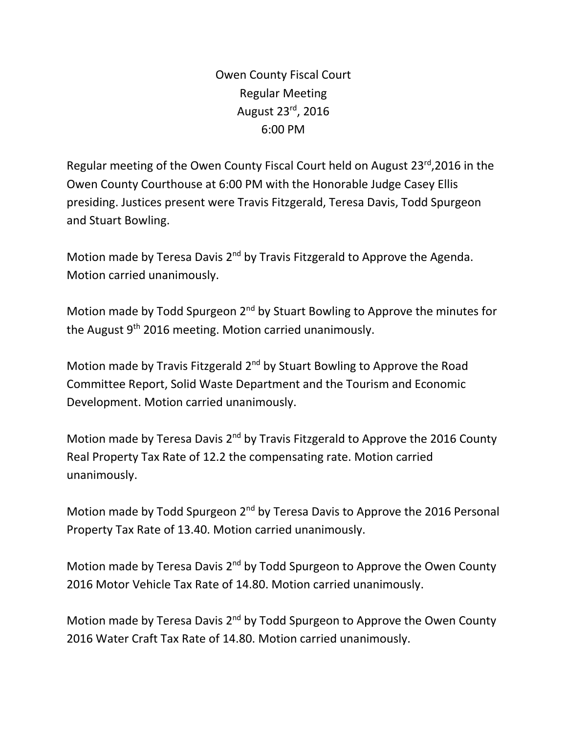Owen County Fiscal Court Regular Meeting August 23rd, 2016 6:00 PM

Regular meeting of the Owen County Fiscal Court held on August 23<sup>rd</sup>,2016 in the Owen County Courthouse at 6:00 PM with the Honorable Judge Casey Ellis presiding. Justices present were Travis Fitzgerald, Teresa Davis, Todd Spurgeon and Stuart Bowling.

Motion made by Teresa Davis 2<sup>nd</sup> by Travis Fitzgerald to Approve the Agenda. Motion carried unanimously.

Motion made by Todd Spurgeon 2<sup>nd</sup> by Stuart Bowling to Approve the minutes for the August 9<sup>th</sup> 2016 meeting. Motion carried unanimously.

Motion made by Travis Fitzgerald 2<sup>nd</sup> by Stuart Bowling to Approve the Road Committee Report, Solid Waste Department and the Tourism and Economic Development. Motion carried unanimously.

Motion made by Teresa Davis 2<sup>nd</sup> by Travis Fitzgerald to Approve the 2016 County Real Property Tax Rate of 12.2 the compensating rate. Motion carried unanimously.

Motion made by Todd Spurgeon 2<sup>nd</sup> by Teresa Davis to Approve the 2016 Personal Property Tax Rate of 13.40. Motion carried unanimously.

Motion made by Teresa Davis 2<sup>nd</sup> by Todd Spurgeon to Approve the Owen County 2016 Motor Vehicle Tax Rate of 14.80. Motion carried unanimously.

Motion made by Teresa Davis 2<sup>nd</sup> by Todd Spurgeon to Approve the Owen County 2016 Water Craft Tax Rate of 14.80. Motion carried unanimously.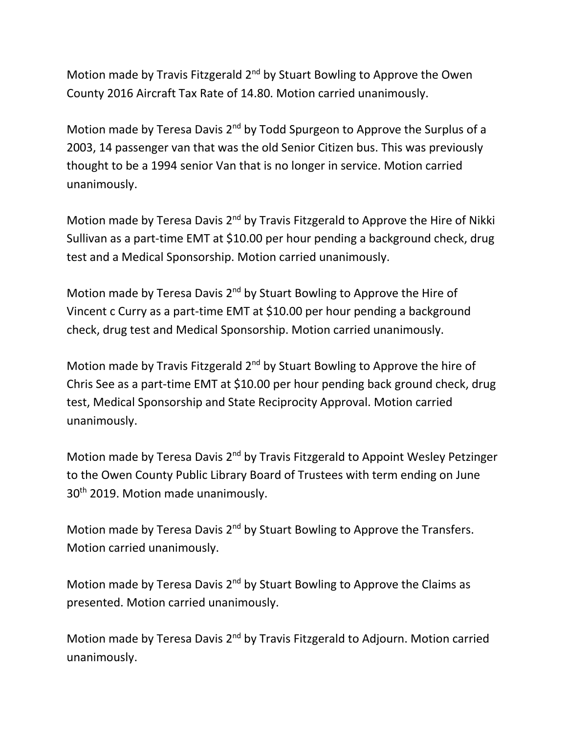Motion made by Travis Fitzgerald 2<sup>nd</sup> by Stuart Bowling to Approve the Owen County 2016 Aircraft Tax Rate of 14.80. Motion carried unanimously.

Motion made by Teresa Davis 2<sup>nd</sup> by Todd Spurgeon to Approve the Surplus of a 2003, 14 passenger van that was the old Senior Citizen bus. This was previously thought to be a 1994 senior Van that is no longer in service. Motion carried unanimously.

Motion made by Teresa Davis 2<sup>nd</sup> by Travis Fitzgerald to Approve the Hire of Nikki Sullivan as a part-time EMT at \$10.00 per hour pending a background check, drug test and a Medical Sponsorship. Motion carried unanimously.

Motion made by Teresa Davis 2<sup>nd</sup> by Stuart Bowling to Approve the Hire of Vincent c Curry as a part-time EMT at \$10.00 per hour pending a background check, drug test and Medical Sponsorship. Motion carried unanimously.

Motion made by Travis Fitzgerald 2<sup>nd</sup> by Stuart Bowling to Approve the hire of Chris See as a part-time EMT at \$10.00 per hour pending back ground check, drug test, Medical Sponsorship and State Reciprocity Approval. Motion carried unanimously.

Motion made by Teresa Davis 2<sup>nd</sup> by Travis Fitzgerald to Appoint Wesley Petzinger to the Owen County Public Library Board of Trustees with term ending on June 30<sup>th</sup> 2019. Motion made unanimously.

Motion made by Teresa Davis 2<sup>nd</sup> by Stuart Bowling to Approve the Transfers. Motion carried unanimously.

Motion made by Teresa Davis  $2<sup>nd</sup>$  by Stuart Bowling to Approve the Claims as presented. Motion carried unanimously.

Motion made by Teresa Davis 2nd by Travis Fitzgerald to Adjourn. Motion carried unanimously.